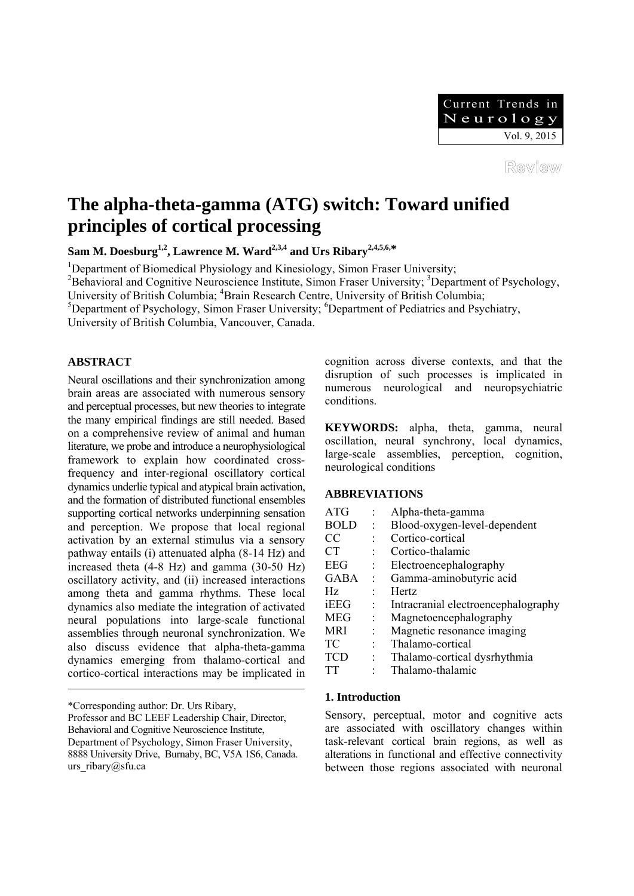Review

# **The alpha-theta-gamma (ATG) switch: Toward unified principles of cortical processing**

Sam M. Doesburg<sup>1,2</sup>, Lawrence M. Ward<sup>2,3,4</sup> and Urs Ribary<sup>2,4,5,6,\*</sup>

<sup>1</sup>Department of Biomedical Physiology and Kinesiology, Simon Fraser University;

<sup>2</sup>Behavioral and Cognitive Neuroscience Institute, Simon Fraser University; <sup>3</sup>Department of Psychology,

University of British Columbia; <sup>4</sup>Brain Research Centre, University of British Columbia;

<sup>5</sup>Department of Psychology, Simon Fraser University; <sup>6</sup>Department of Pediatrics and Psychiatry,

University of British Columbia, Vancouver, Canada.

# **ABSTRACT**

Neural oscillations and their synchronization among brain areas are associated with numerous sensory and perceptual processes, but new theories to integrate the many empirical findings are still needed. Based on a comprehensive review of animal and human literature, we probe and introduce a neurophysiological framework to explain how coordinated crossfrequency and inter-regional oscillatory cortical dynamics underlie typical and atypical brain activation, and the formation of distributed functional ensembles supporting cortical networks underpinning sensation and perception. We propose that local regional activation by an external stimulus via a sensory pathway entails (i) attenuated alpha (8-14 Hz) and increased theta (4-8 Hz) and gamma (30-50 Hz) oscillatory activity, and (ii) increased interactions among theta and gamma rhythms. These local dynamics also mediate the integration of activated neural populations into large-scale functional assemblies through neuronal synchronization. We also discuss evidence that alpha-theta-gamma dynamics emerging from thalamo-cortical and cortico-cortical interactions may be implicated in

\*Corresponding author: Dr. Urs Ribary,

Professor and BC LEEF Leadership Chair, Director, Behavioral and Cognitive Neuroscience Institute, Department of Psychology, Simon Fraser University, 8888 University Drive, Burnaby, BC, V5A 1S6, Canada. urs\_ribary@sfu.ca

cognition across diverse contexts, and that the disruption of such processes is implicated in numerous neurological and neuropsychiatric conditions.

**KEYWORDS:** alpha, theta, gamma, neural oscillation, neural synchrony, local dynamics, large-scale assemblies, perception, cognition, neurological conditions

# **ABBREVIATIONS**

| <b>ATG</b>  |                      | Alpha-theta-gamma                   |
|-------------|----------------------|-------------------------------------|
| <b>BOLD</b> | ÷                    | Blood-oxygen-level-dependent        |
| CC          |                      | Cortico-cortical                    |
| <b>CT</b>   |                      | Cortico-thalamic                    |
| <b>EEG</b>  |                      | Electroencephalography              |
| <b>GABA</b> | $\ddot{\phantom{a}}$ | Gamma-aminobutyric acid             |
| Hz.         |                      | <b>Hertz</b>                        |
| iEEG        |                      | Intracranial electroencephalography |
| MEG         |                      | Magnetoencephalography              |
| <b>MRI</b>  |                      | Magnetic resonance imaging          |
| TC          |                      | Thalamo-cortical                    |
| <b>TCD</b>  |                      | Thalamo-cortical dysrhythmia        |
| TТ          |                      | Thalamo-thalamic                    |

## **1. Introduction**

Sensory, perceptual, motor and cognitive acts are associated with oscillatory changes within task-relevant cortical brain regions, as well as alterations in functional and effective connectivity between those regions associated with neuronal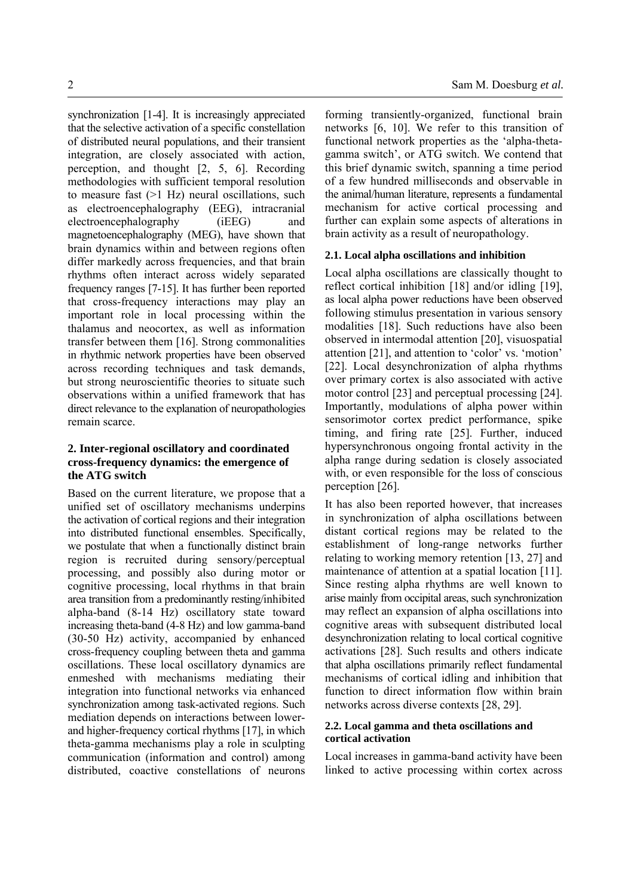synchronization [1-4]. It is increasingly appreciated that the selective activation of a specific constellation of distributed neural populations, and their transient integration, are closely associated with action, perception, and thought [2, 5, 6]. Recording methodologies with sufficient temporal resolution to measure fast  $(>1$  Hz) neural oscillations, such as electroencephalography (EEG), intracranial electroencephalography (iEEG) and magnetoencephalography (MEG), have shown that brain dynamics within and between regions often differ markedly across frequencies, and that brain rhythms often interact across widely separated frequency ranges [7-15]. It has further been reported that cross-frequency interactions may play an important role in local processing within the thalamus and neocortex, as well as information transfer between them [16]. Strong commonalities in rhythmic network properties have been observed across recording techniques and task demands, but strong neuroscientific theories to situate such observations within a unified framework that has direct relevance to the explanation of neuropathologies

# **2. Inter-regional oscillatory and coordinated cross-frequency dynamics: the emergence of the ATG switch**

remain scarce.

Based on the current literature, we propose that a unified set of oscillatory mechanisms underpins the activation of cortical regions and their integration into distributed functional ensembles. Specifically, we postulate that when a functionally distinct brain region is recruited during sensory/perceptual processing, and possibly also during motor or cognitive processing, local rhythms in that brain area transition from a predominantly resting/inhibited alpha-band (8-14 Hz) oscillatory state toward increasing theta-band (4-8 Hz) and low gamma-band (30-50 Hz) activity, accompanied by enhanced cross-frequency coupling between theta and gamma oscillations. These local oscillatory dynamics are enmeshed with mechanisms mediating their integration into functional networks via enhanced synchronization among task-activated regions. Such mediation depends on interactions between lowerand higher-frequency cortical rhythms [17], in which theta-gamma mechanisms play a role in sculpting communication (information and control) among distributed, coactive constellations of neurons forming transiently-organized, functional brain networks [6, 10]. We refer to this transition of functional network properties as the 'alpha-thetagamma switch', or ATG switch. We contend that this brief dynamic switch, spanning a time period of a few hundred milliseconds and observable in the animal/human literature, represents a fundamental mechanism for active cortical processing and further can explain some aspects of alterations in brain activity as a result of neuropathology.

## **2.1. Local alpha oscillations and inhibition**

Local alpha oscillations are classically thought to reflect cortical inhibition [18] and/or idling [19], as local alpha power reductions have been observed following stimulus presentation in various sensory modalities [18]. Such reductions have also been observed in intermodal attention [20], visuospatial attention [21], and attention to 'color' vs. 'motion' [22]. Local desynchronization of alpha rhythms over primary cortex is also associated with active motor control [23] and perceptual processing [24]. Importantly, modulations of alpha power within sensorimotor cortex predict performance, spike timing, and firing rate [25]. Further, induced hypersynchronous ongoing frontal activity in the alpha range during sedation is closely associated with, or even responsible for the loss of conscious perception [26].

It has also been reported however, that increases in synchronization of alpha oscillations between distant cortical regions may be related to the establishment of long-range networks further relating to working memory retention [13, 27] and maintenance of attention at a spatial location [11]. Since resting alpha rhythms are well known to arise mainly from occipital areas, such synchronization may reflect an expansion of alpha oscillations into cognitive areas with subsequent distributed local desynchronization relating to local cortical cognitive activations [28]. Such results and others indicate that alpha oscillations primarily reflect fundamental mechanisms of cortical idling and inhibition that function to direct information flow within brain networks across diverse contexts [28, 29].

## **2.2. Local gamma and theta oscillations and cortical activation**

Local increases in gamma-band activity have been linked to active processing within cortex across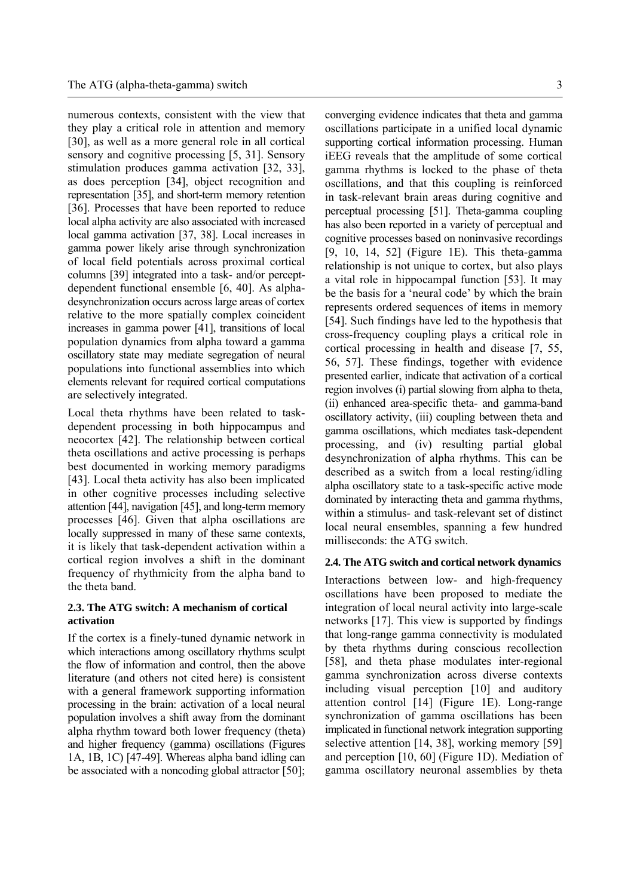numerous contexts, consistent with the view that they play a critical role in attention and memory [30], as well as a more general role in all cortical sensory and cognitive processing [5, 31]. Sensory stimulation produces gamma activation [32, 33], as does perception [34], object recognition and representation [35], and short-term memory retention [36]. Processes that have been reported to reduce local alpha activity are also associated with increased local gamma activation [37, 38]. Local increases in gamma power likely arise through synchronization of local field potentials across proximal cortical columns [39] integrated into a task- and/or perceptdependent functional ensemble [6, 40]. As alphadesynchronization occurs across large areas of cortex relative to the more spatially complex coincident increases in gamma power [41], transitions of local population dynamics from alpha toward a gamma oscillatory state may mediate segregation of neural populations into functional assemblies into which elements relevant for required cortical computations are selectively integrated.

Local theta rhythms have been related to taskdependent processing in both hippocampus and neocortex [42]. The relationship between cortical theta oscillations and active processing is perhaps best documented in working memory paradigms [43]. Local theta activity has also been implicated in other cognitive processes including selective attention [44], navigation [45], and long-term memory processes [46]. Given that alpha oscillations are locally suppressed in many of these same contexts, it is likely that task-dependent activation within a cortical region involves a shift in the dominant frequency of rhythmicity from the alpha band to the theta band.

# **2.3. The ATG switch: A mechanism of cortical activation**

If the cortex is a finely-tuned dynamic network in which interactions among oscillatory rhythms sculpt the flow of information and control, then the above literature (and others not cited here) is consistent with a general framework supporting information processing in the brain: activation of a local neural population involves a shift away from the dominant alpha rhythm toward both lower frequency (theta) and higher frequency (gamma) oscillations (Figures 1A, 1B, 1C) [47-49]. Whereas alpha band idling can be associated with a noncoding global attractor [50]; converging evidence indicates that theta and gamma oscillations participate in a unified local dynamic supporting cortical information processing. Human iEEG reveals that the amplitude of some cortical gamma rhythms is locked to the phase of theta oscillations, and that this coupling is reinforced in task-relevant brain areas during cognitive and perceptual processing [51]. Theta-gamma coupling has also been reported in a variety of perceptual and cognitive processes based on noninvasive recordings [9, 10, 14, 52] (Figure 1E). This theta-gamma relationship is not unique to cortex, but also plays a vital role in hippocampal function [53]. It may be the basis for a 'neural code' by which the brain represents ordered sequences of items in memory [54]. Such findings have led to the hypothesis that cross-frequency coupling plays a critical role in cortical processing in health and disease [7, 55, 56, 57]. These findings, together with evidence presented earlier, indicate that activation of a cortical region involves (i) partial slowing from alpha to theta, (ii) enhanced area-specific theta- and gamma-band oscillatory activity, (iii) coupling between theta and gamma oscillations, which mediates task-dependent processing, and (iv) resulting partial global desynchronization of alpha rhythms. This can be described as a switch from a local resting/idling alpha oscillatory state to a task-specific active mode dominated by interacting theta and gamma rhythms, within a stimulus- and task-relevant set of distinct local neural ensembles, spanning a few hundred milliseconds: the ATG switch.

#### **2.4. The ATG switch and cortical network dynamics**

Interactions between low- and high-frequency oscillations have been proposed to mediate the integration of local neural activity into large-scale networks [17]. This view is supported by findings that long-range gamma connectivity is modulated by theta rhythms during conscious recollection [58], and theta phase modulates inter-regional gamma synchronization across diverse contexts including visual perception [10] and auditory attention control [14] (Figure 1E). Long-range synchronization of gamma oscillations has been implicated in functional network integration supporting selective attention [14, 38], working memory [59] and perception [10, 60] (Figure 1D). Mediation of gamma oscillatory neuronal assemblies by theta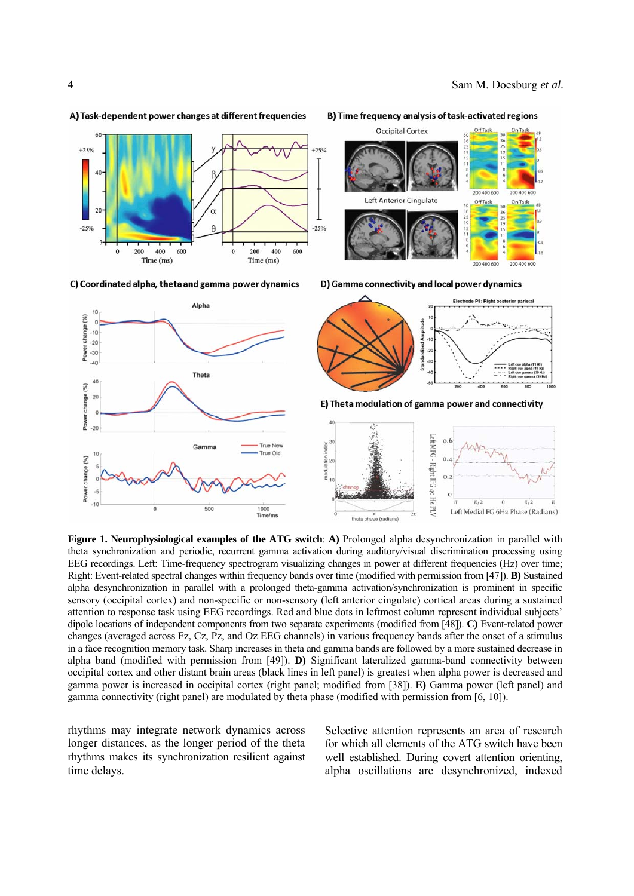

#### A) Task-dependent power changes at different frequencies

B) Time frequency analysis of task-activated regions





D) Gamma connectivity and local power dynamics

**Figure 1. Neurophysiological examples of the ATG switch**: **A)** Prolonged alpha desynchronization in parallel with theta synchronization and periodic, recurrent gamma activation during auditory/visual discrimination processing using EEG recordings. Left: Time-frequency spectrogram visualizing changes in power at different frequencies (Hz) over time; Right: Event-related spectral changes within frequency bands over time (modified with permission from [47]). **B)** Sustained alpha desynchronization in parallel with a prolonged theta-gamma activation/synchronization is prominent in specific sensory (occipital cortex) and non-specific or non-sensory (left anterior cingulate) cortical areas during a sustained attention to response task using EEG recordings. Red and blue dots in leftmost column represent individual subjects' dipole locations of independent components from two separate experiments (modified from [48]). **C)** Event-related power changes (averaged across Fz, Cz, Pz, and Oz EEG channels) in various frequency bands after the onset of a stimulus in a face recognition memory task. Sharp increases in theta and gamma bands are followed by a more sustained decrease in alpha band (modified with permission from [49]). **D)** Significant lateralized gamma-band connectivity between occipital cortex and other distant brain areas (black lines in left panel) is greatest when alpha power is decreased and gamma power is increased in occipital cortex (right panel; modified from [38]). **E)** Gamma power (left panel) and gamma connectivity (right panel) are modulated by theta phase (modified with permission from [6, 10]).

rhythms may integrate network dynamics across longer distances, as the longer period of the theta rhythms makes its synchronization resilient against time delays.

Selective attention represents an area of research for which all elements of the ATG switch have been well established. During covert attention orienting, alpha oscillations are desynchronized, indexed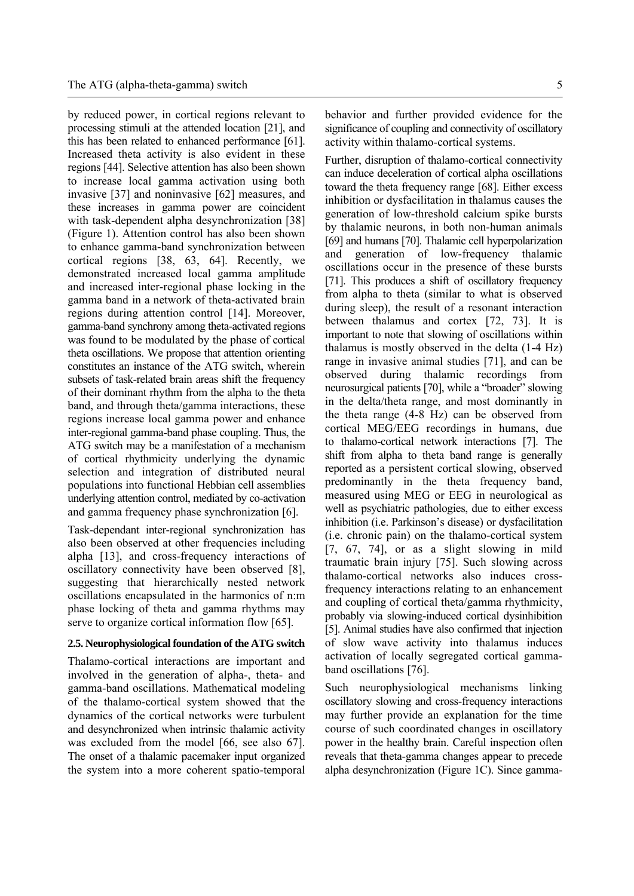by reduced power, in cortical regions relevant to processing stimuli at the attended location [21], and this has been related to enhanced performance [61]. Increased theta activity is also evident in these regions [44]. Selective attention has also been shown to increase local gamma activation using both invasive [37] and noninvasive [62] measures, and these increases in gamma power are coincident with task-dependent alpha desynchronization [38] (Figure 1). Attention control has also been shown to enhance gamma-band synchronization between cortical regions [38, 63, 64]. Recently, we demonstrated increased local gamma amplitude and increased inter-regional phase locking in the gamma band in a network of theta-activated brain regions during attention control [14]. Moreover, gamma-band synchrony among theta-activated regions was found to be modulated by the phase of cortical theta oscillations. We propose that attention orienting constitutes an instance of the ATG switch, wherein subsets of task-related brain areas shift the frequency of their dominant rhythm from the alpha to the theta band, and through theta/gamma interactions, these regions increase local gamma power and enhance inter-regional gamma-band phase coupling. Thus, the ATG switch may be a manifestation of a mechanism of cortical rhythmicity underlying the dynamic selection and integration of distributed neural populations into functional Hebbian cell assemblies underlying attention control, mediated by co-activation and gamma frequency phase synchronization [6].

Task-dependant inter-regional synchronization has also been observed at other frequencies including alpha [13], and cross-frequency interactions of oscillatory connectivity have been observed [8], suggesting that hierarchically nested network oscillations encapsulated in the harmonics of n:m phase locking of theta and gamma rhythms may serve to organize cortical information flow [65].

#### **2.5. Neurophysiological foundation of the ATG switch**

Thalamo-cortical interactions are important and involved in the generation of alpha-, theta- and gamma-band oscillations. Mathematical modeling of the thalamo-cortical system showed that the dynamics of the cortical networks were turbulent and desynchronized when intrinsic thalamic activity was excluded from the model [66, see also 67]. The onset of a thalamic pacemaker input organized the system into a more coherent spatio-temporal

behavior and further provided evidence for the significance of coupling and connectivity of oscillatory activity within thalamo-cortical systems.

Further, disruption of thalamo-cortical connectivity can induce deceleration of cortical alpha oscillations toward the theta frequency range [68]. Either excess inhibition or dysfacilitation in thalamus causes the generation of low-threshold calcium spike bursts by thalamic neurons, in both non-human animals [69] and humans [70]. Thalamic cell hyperpolarization and generation of low-frequency thalamic oscillations occur in the presence of these bursts [71]. This produces a shift of oscillatory frequency from alpha to theta (similar to what is observed during sleep), the result of a resonant interaction between thalamus and cortex [72, 73]. It is important to note that slowing of oscillations within thalamus is mostly observed in the delta (1-4 Hz) range in invasive animal studies [71], and can be observed during thalamic recordings from neurosurgical patients [70], while a "broader" slowing in the delta/theta range, and most dominantly in the theta range (4-8 Hz) can be observed from cortical MEG/EEG recordings in humans, due to thalamo-cortical network interactions [7]. The shift from alpha to theta band range is generally reported as a persistent cortical slowing, observed predominantly in the theta frequency band, measured using MEG or EEG in neurological as well as psychiatric pathologies, due to either excess inhibition (i.e. Parkinson's disease) or dysfacilitation (i.e. chronic pain) on the thalamo-cortical system [7, 67, 74], or as a slight slowing in mild traumatic brain injury [75]. Such slowing across thalamo-cortical networks also induces crossfrequency interactions relating to an enhancement and coupling of cortical theta/gamma rhythmicity, probably via slowing-induced cortical dysinhibition [5]. Animal studies have also confirmed that injection of slow wave activity into thalamus induces activation of locally segregated cortical gammaband oscillations [76].

Such neurophysiological mechanisms linking oscillatory slowing and cross-frequency interactions may further provide an explanation for the time course of such coordinated changes in oscillatory power in the healthy brain. Careful inspection often reveals that theta-gamma changes appear to precede alpha desynchronization (Figure 1C). Since gamma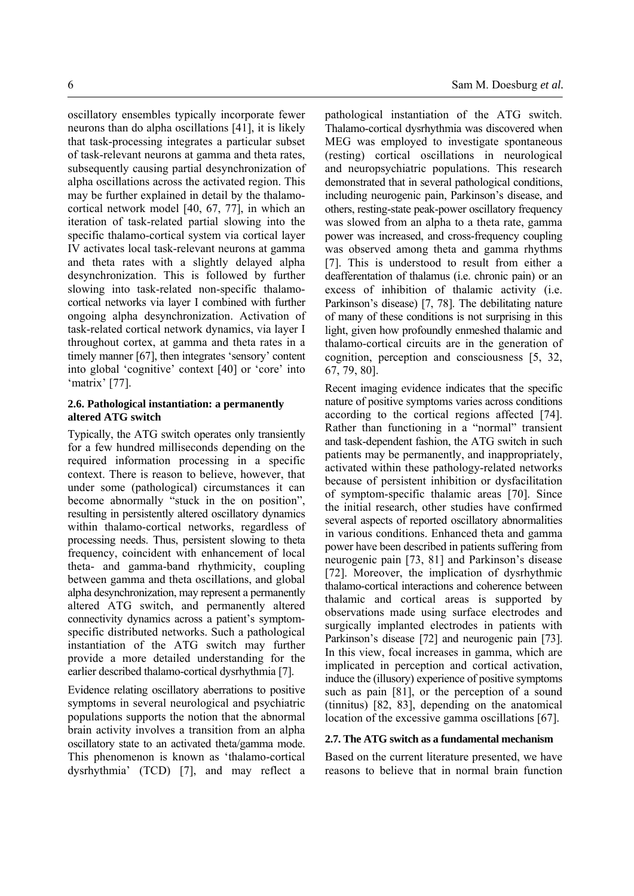oscillatory ensembles typically incorporate fewer neurons than do alpha oscillations [41], it is likely that task-processing integrates a particular subset of task-relevant neurons at gamma and theta rates, subsequently causing partial desynchronization of alpha oscillations across the activated region. This may be further explained in detail by the thalamocortical network model [40, 67, 77], in which an iteration of task-related partial slowing into the specific thalamo-cortical system via cortical layer IV activates local task-relevant neurons at gamma and theta rates with a slightly delayed alpha desynchronization. This is followed by further slowing into task-related non-specific thalamocortical networks via layer I combined with further ongoing alpha desynchronization. Activation of task-related cortical network dynamics, via layer I throughout cortex, at gamma and theta rates in a timely manner [67], then integrates 'sensory' content into global 'cognitive' context [40] or 'core' into 'matrix' [77].

## **2.6. Pathological instantiation: a permanently altered ATG switch**

Typically, the ATG switch operates only transiently for a few hundred milliseconds depending on the required information processing in a specific context. There is reason to believe, however, that under some (pathological) circumstances it can become abnormally "stuck in the on position", resulting in persistently altered oscillatory dynamics within thalamo-cortical networks, regardless of processing needs. Thus, persistent slowing to theta frequency, coincident with enhancement of local theta- and gamma-band rhythmicity, coupling between gamma and theta oscillations, and global alpha desynchronization, may represent a permanently altered ATG switch, and permanently altered connectivity dynamics across a patient's symptomspecific distributed networks. Such a pathological instantiation of the ATG switch may further provide a more detailed understanding for the earlier described thalamo-cortical dysrhythmia [7].

Evidence relating oscillatory aberrations to positive symptoms in several neurological and psychiatric populations supports the notion that the abnormal brain activity involves a transition from an alpha oscillatory state to an activated theta/gamma mode. This phenomenon is known as 'thalamo-cortical dysrhythmia' (TCD) [7], and may reflect a pathological instantiation of the ATG switch. Thalamo-cortical dysrhythmia was discovered when MEG was employed to investigate spontaneous (resting) cortical oscillations in neurological and neuropsychiatric populations. This research demonstrated that in several pathological conditions, including neurogenic pain, Parkinson's disease, and others, resting-state peak-power oscillatory frequency was slowed from an alpha to a theta rate, gamma power was increased, and cross-frequency coupling was observed among theta and gamma rhythms [7]. This is understood to result from either a deafferentation of thalamus (i.e. chronic pain) or an excess of inhibition of thalamic activity (i.e. Parkinson's disease) [7, 78]. The debilitating nature of many of these conditions is not surprising in this light, given how profoundly enmeshed thalamic and thalamo-cortical circuits are in the generation of cognition, perception and consciousness [5, 32, 67, 79, 80].

Recent imaging evidence indicates that the specific nature of positive symptoms varies across conditions according to the cortical regions affected [74]. Rather than functioning in a "normal" transient and task-dependent fashion, the ATG switch in such patients may be permanently, and inappropriately, activated within these pathology-related networks because of persistent inhibition or dysfacilitation of symptom-specific thalamic areas [70]. Since the initial research, other studies have confirmed several aspects of reported oscillatory abnormalities in various conditions. Enhanced theta and gamma power have been described in patients suffering from neurogenic pain [73, 81] and Parkinson's disease [72]. Moreover, the implication of dysrhythmic thalamo-cortical interactions and coherence between thalamic and cortical areas is supported by observations made using surface electrodes and surgically implanted electrodes in patients with Parkinson's disease [72] and neurogenic pain [73]. In this view, focal increases in gamma, which are implicated in perception and cortical activation, induce the (illusory) experience of positive symptoms such as pain [81], or the perception of a sound (tinnitus) [82, 83], depending on the anatomical location of the excessive gamma oscillations [67].

## **2.7. The ATG switch as a fundamental mechanism**

Based on the current literature presented, we have reasons to believe that in normal brain function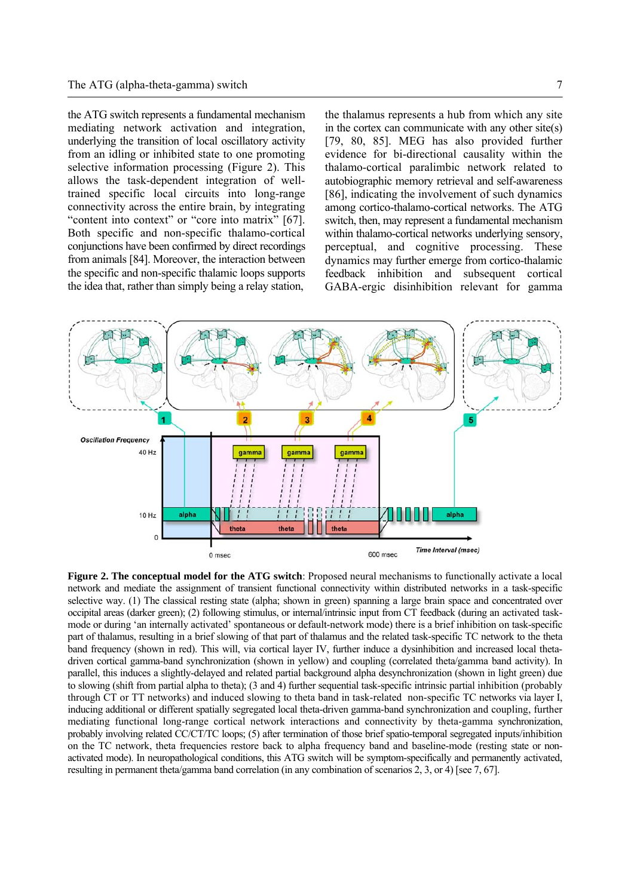the ATG switch represents a fundamental mechanism mediating network activation and integration, underlying the transition of local oscillatory activity from an idling or inhibited state to one promoting selective information processing (Figure 2). This allows the task-dependent integration of welltrained specific local circuits into long-range connectivity across the entire brain, by integrating "content into context" or "core into matrix" [67]. Both specific and non-specific thalamo-cortical conjunctions have been confirmed by direct recordings from animals [84]. Moreover, the interaction between the specific and non-specific thalamic loops supports the idea that, rather than simply being a relay station,

the thalamus represents a hub from which any site in the cortex can communicate with any other site(s) [79, 80, 85]. MEG has also provided further evidence for bi-directional causality within the thalamo-cortical paralimbic network related to autobiographic memory retrieval and self-awareness [86], indicating the involvement of such dynamics among cortico-thalamo-cortical networks. The ATG switch, then, may represent a fundamental mechanism within thalamo-cortical networks underlying sensory, perceptual, and cognitive processing. These dynamics may further emerge from cortico-thalamic feedback inhibition and subsequent cortical GABA-ergic disinhibition relevant for gamma



**Figure 2. The conceptual model for the ATG switch**: Proposed neural mechanisms to functionally activate a local network and mediate the assignment of transient functional connectivity within distributed networks in a task-specific selective way. (1) The classical resting state (alpha; shown in green) spanning a large brain space and concentrated over occipital areas (darker green); (2) following stimulus, or internal/intrinsic input from CT feedback (during an activated taskmode or during 'an internally activated' spontaneous or default-network mode) there is a brief inhibition on task-specific part of thalamus, resulting in a brief slowing of that part of thalamus and the related task-specific TC network to the theta band frequency (shown in red). This will, via cortical layer IV, further induce a dysinhibition and increased local thetadriven cortical gamma-band synchronization (shown in yellow) and coupling (correlated theta/gamma band activity). In parallel, this induces a slightly-delayed and related partial background alpha desynchronization (shown in light green) due to slowing (shift from partial alpha to theta); (3 and 4) further sequential task-specific intrinsic partial inhibition (probably through CT or TT networks) and induced slowing to theta band in task-related non-specific TC networks via layer I, inducing additional or different spatially segregated local theta-driven gamma-band synchronization and coupling, further mediating functional long-range cortical network interactions and connectivity by theta-gamma synchronization, probably involving related CC/CT/TC loops; (5) after termination of those brief spatio-temporal segregated inputs/inhibition on the TC network, theta frequencies restore back to alpha frequency band and baseline-mode (resting state or nonactivated mode). In neuropathological conditions, this ATG switch will be symptom-specifically and permanently activated, resulting in permanent theta/gamma band correlation (in any combination of scenarios 2, 3, or 4) [see 7, 67].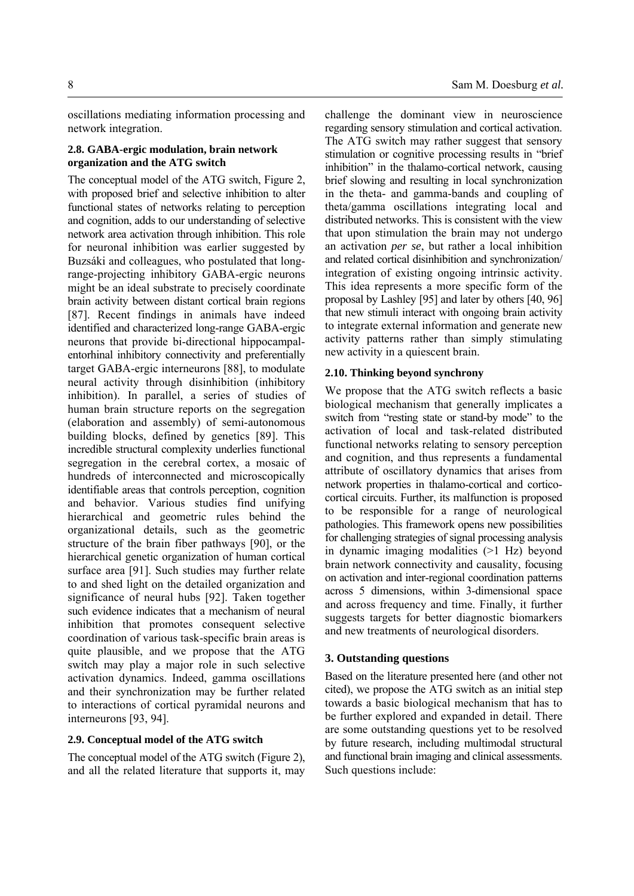oscillations mediating information processing and network integration.

## **2.8. GABA-ergic modulation, brain network organization and the ATG switch**

The conceptual model of the ATG switch, Figure 2, with proposed brief and selective inhibition to alter functional states of networks relating to perception and cognition, adds to our understanding of selective network area activation through inhibition. This role for neuronal inhibition was earlier suggested by Buzsáki and colleagues, who postulated that longrange-projecting inhibitory GABA-ergic neurons might be an ideal substrate to precisely coordinate brain activity between distant cortical brain regions [87]. Recent findings in animals have indeed identified and characterized long-range GABA-ergic neurons that provide bi-directional hippocampalentorhinal inhibitory connectivity and preferentially target GABA-ergic interneurons [88], to modulate neural activity through disinhibition (inhibitory inhibition). In parallel, a series of studies of human brain structure reports on the segregation (elaboration and assembly) of semi-autonomous building blocks, defined by genetics [89]. This incredible structural complexity underlies functional segregation in the cerebral cortex, a mosaic of hundreds of interconnected and microscopically identifiable areas that controls perception, cognition and behavior. Various studies find unifying hierarchical and geometric rules behind the organizational details, such as the geometric structure of the brain fiber pathways [90], or the hierarchical genetic organization of human cortical surface area [91]. Such studies may further relate to and shed light on the detailed organization and significance of neural hubs [92]. Taken together such evidence indicates that a mechanism of neural inhibition that promotes consequent selective coordination of various task-specific brain areas is quite plausible, and we propose that the ATG switch may play a major role in such selective activation dynamics. Indeed, gamma oscillations and their synchronization may be further related to interactions of cortical pyramidal neurons and interneurons [93, 94].

## **2.9. Conceptual model of the ATG switch**

The conceptual model of the ATG switch (Figure 2), and all the related literature that supports it, may

challenge the dominant view in neuroscience regarding sensory stimulation and cortical activation. The ATG switch may rather suggest that sensory stimulation or cognitive processing results in "brief inhibition" in the thalamo-cortical network, causing brief slowing and resulting in local synchronization in the theta- and gamma-bands and coupling of theta/gamma oscillations integrating local and distributed networks. This is consistent with the view that upon stimulation the brain may not undergo an activation *per se*, but rather a local inhibition and related cortical disinhibition and synchronization/ integration of existing ongoing intrinsic activity. This idea represents a more specific form of the proposal by Lashley [95] and later by others [40, 96] that new stimuli interact with ongoing brain activity to integrate external information and generate new activity patterns rather than simply stimulating new activity in a quiescent brain.

# **2.10. Thinking beyond synchrony**

We propose that the ATG switch reflects a basic biological mechanism that generally implicates a switch from "resting state or stand-by mode" to the activation of local and task-related distributed functional networks relating to sensory perception and cognition, and thus represents a fundamental attribute of oscillatory dynamics that arises from network properties in thalamo-cortical and corticocortical circuits. Further, its malfunction is proposed to be responsible for a range of neurological pathologies. This framework opens new possibilities for challenging strategies of signal processing analysis in dynamic imaging modalities (>1 Hz) beyond brain network connectivity and causality, focusing on activation and inter-regional coordination patterns across 5 dimensions, within 3-dimensional space and across frequency and time. Finally, it further suggests targets for better diagnostic biomarkers and new treatments of neurological disorders.

## **3. Outstanding questions**

Based on the literature presented here (and other not cited), we propose the ATG switch as an initial step towards a basic biological mechanism that has to be further explored and expanded in detail. There are some outstanding questions yet to be resolved by future research, including multimodal structural and functional brain imaging and clinical assessments. Such questions include: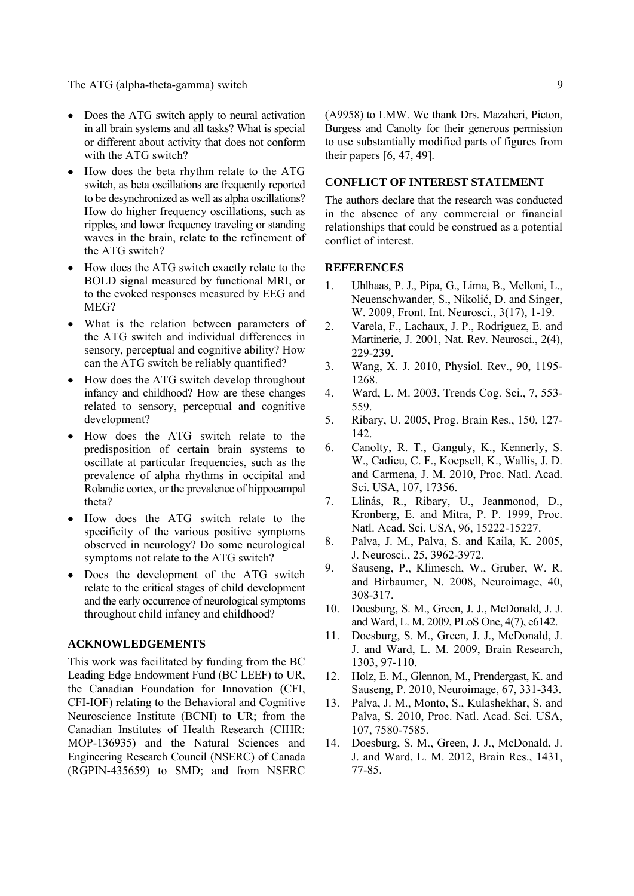- Does the ATG switch apply to neural activation in all brain systems and all tasks? What is special or different about activity that does not conform with the ATG switch?
- How does the beta rhythm relate to the ATG switch, as beta oscillations are frequently reported to be desynchronized as well as alpha oscillations? How do higher frequency oscillations, such as ripples, and lower frequency traveling or standing waves in the brain, relate to the refinement of the ATG switch?
- How does the ATG switch exactly relate to the BOLD signal measured by functional MRI, or to the evoked responses measured by EEG and MEG?
- What is the relation between parameters of the ATG switch and individual differences in sensory, perceptual and cognitive ability? How can the ATG switch be reliably quantified?
- How does the ATG switch develop throughout infancy and childhood? How are these changes related to sensory, perceptual and cognitive development?
- How does the ATG switch relate to the predisposition of certain brain systems to oscillate at particular frequencies, such as the prevalence of alpha rhythms in occipital and Rolandic cortex, or the prevalence of hippocampal theta?
- How does the ATG switch relate to the specificity of the various positive symptoms observed in neurology? Do some neurological symptoms not relate to the ATG switch?
- Does the development of the ATG switch relate to the critical stages of child development and the early occurrence of neurological symptoms throughout child infancy and childhood?

## **ACKNOWLEDGEMENTS**

This work was facilitated by funding from the BC Leading Edge Endowment Fund (BC LEEF) to UR, the Canadian Foundation for Innovation (CFI, CFI-IOF) relating to the Behavioral and Cognitive Neuroscience Institute (BCNI) to UR; from the Canadian Institutes of Health Research (CIHR: MOP-136935) and the Natural Sciences and Engineering Research Council (NSERC) of Canada (RGPIN-435659) to SMD; and from NSERC

(A9958) to LMW. We thank Drs. Mazaheri, Picton, Burgess and Canolty for their generous permission to use substantially modified parts of figures from their papers [6, 47, 49].

## **CONFLICT OF INTEREST STATEMENT**

The authors declare that the research was conducted in the absence of any commercial or financial relationships that could be construed as a potential conflict of interest.

## **REFERENCES**

- 1. Uhlhaas, P. J., Pipa, G., Lima, B., Melloni, L., Neuenschwander, S., Nikolić, D. and Singer, W. 2009, Front. Int. Neurosci., 3(17), 1-19.
- 2. Varela, F., Lachaux, J. P., Rodriguez, E. and Martinerie, J. 2001, Nat. Rev. Neurosci., 2(4), 229-239.
- 3. Wang, X. J. 2010, Physiol. Rev., 90, 1195- 1268.
- 4. Ward, L. M. 2003, Trends Cog. Sci., 7, 553- 559.
- 5. Ribary, U. 2005, Prog. Brain Res., 150, 127- 142.
- 6. Canolty, R. T., Ganguly, K., Kennerly, S. W., Cadieu, C. F., Koepsell, K., Wallis, J. D. and Carmena, J. M. 2010, Proc. Natl. Acad. Sci. USA, 107, 17356.
- 7. Llinás, R., Ribary, U., Jeanmonod, D., Kronberg, E. and Mitra, P. P. 1999, Proc. Natl. Acad. Sci. USA, 96, 15222-15227.
- 8. Palva, J. M., Palva, S. and Kaila, K. 2005, J. Neurosci., 25, 3962-3972.
- 9. Sauseng, P., Klimesch, W., Gruber, W. R. and Birbaumer, N. 2008, Neuroimage, 40, 308-317.
- 10. Doesburg, S. M., Green, J. J., McDonald, J. J. and Ward, L. M. 2009, PLoS One, 4(7), e6142.
- 11. Doesburg, S. M., Green, J. J., McDonald, J. J. and Ward, L. M. 2009, Brain Research, 1303, 97-110.
- 12. Holz, E. M., Glennon, M., Prendergast, K. and Sauseng, P. 2010, Neuroimage, 67, 331-343.
- 13. Palva, J. M., Monto, S., Kulashekhar, S. and Palva, S. 2010, Proc. Natl. Acad. Sci. USA, 107, 7580-7585.
- 14. Doesburg, S. M., Green, J. J., McDonald, J. J. and Ward, L. M. 2012, Brain Res., 1431, 77-85.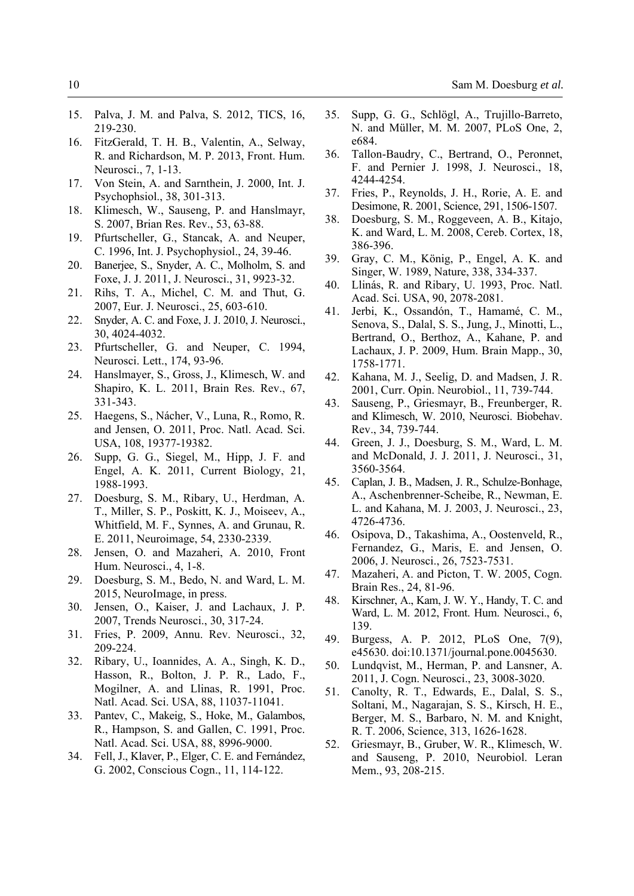- 15. Palva, J. M. and Palva, S. 2012, TICS, 16, 219-230.
- 16. FitzGerald, T. H. B., Valentin, A., Selway, R. and Richardson, M. P. 2013, Front. Hum. Neurosci., 7, 1-13.
- 17. Von Stein, A. and Sarnthein, J. 2000, Int. J. Psychophsiol., 38, 301-313.
- 18. Klimesch, W., Sauseng, P. and Hanslmayr, S. 2007, Brian Res. Rev., 53, 63-88.
- 19. Pfurtscheller, G., Stancak, A. and Neuper, C. 1996, Int. J. Psychophysiol., 24, 39-46.
- 20. Banerjee, S., Snyder, A. C., Molholm, S. and Foxe, J. J. 2011, J. Neurosci., 31, 9923-32.
- 21. Rihs, T. A., Michel, C. M. and Thut, G. 2007, Eur. J. Neurosci., 25, 603-610.
- 22. Snyder, A. C. and Foxe, J. J. 2010, J. Neurosci., 30, 4024-4032.
- 23. Pfurtscheller, G. and Neuper, C. 1994, Neurosci. Lett., 174, 93-96.
- 24. Hanslmayer, S., Gross, J., Klimesch, W. and Shapiro, K. L. 2011, Brain Res. Rev., 67, 331-343.
- 25. Haegens, S., Nácher, V., Luna, R., Romo, R. and Jensen, O. 2011, Proc. Natl. Acad. Sci. USA, 108, 19377-19382.
- 26. Supp, G. G., Siegel, M., Hipp, J. F. and Engel, A. K. 2011, Current Biology, 21, 1988-1993.
- 27. Doesburg, S. M., Ribary, U., Herdman, A. T., Miller, S. P., Poskitt, K. J., Moiseev, A., Whitfield, M. F., Synnes, A. and Grunau, R. E. 2011, Neuroimage, 54, 2330-2339.
- 28. Jensen, O. and Mazaheri, A. 2010, Front Hum. Neurosci., 4, 1-8.
- 29. Doesburg, S. M., Bedo, N. and Ward, L. M. 2015, NeuroImage, in press.
- 30. Jensen, O., Kaiser, J. and Lachaux, J. P. 2007, Trends Neurosci., 30, 317-24.
- 31. Fries, P. 2009, Annu. Rev. Neurosci., 32, 209-224.
- 32. Ribary, U., Ioannides, A. A., Singh, K. D., Hasson, R., Bolton, J. P. R., Lado, F., Mogilner, A. and Llinas, R. 1991, Proc. Natl. Acad. Sci. USA, 88, 11037-11041.
- 33. Pantev, C., Makeig, S., Hoke, M., Galambos, R., Hampson, S. and Gallen, C. 1991, Proc. Natl. Acad. Sci. USA, 88, 8996-9000.
- 34. Fell, J., Klaver, P., Elger, C. E. and Fernández, G. 2002, Conscious Cogn., 11, 114-122.
- 35. Supp, G. G., Schlögl, A., Trujillo-Barreto, N. and Müller, M. M. 2007, PLoS One, 2, e684.
- 36. Tallon-Baudry, C., Bertrand, O., Peronnet, F. and Pernier J. 1998, J. Neurosci., 18, 4244-4254.
- 37. Fries, P., Reynolds, J. H., Rorie, A. E. and Desimone, R. 2001, Science, 291, 1506-1507.
- 38. Doesburg, S. M., Roggeveen, A. B., Kitajo, K. and Ward, L. M. 2008, Cereb. Cortex, 18, 386-396.
- 39. Gray, C. M., König, P., Engel, A. K. and Singer, W. 1989, Nature, 338, 334-337.
- 40. Llinás, R. and Ribary, U. 1993, Proc. Natl. Acad. Sci. USA, 90, 2078-2081.
- 41. Jerbi, K., Ossandón, T., Hamamé, C. M., Senova, S., Dalal, S. S., Jung, J., Minotti, L., Bertrand, O., Berthoz, A., Kahane, P. and Lachaux, J. P. 2009, Hum. Brain Mapp., 30, 1758-1771.
- 42. Kahana, M. J., Seelig, D. and Madsen, J. R. 2001, Curr. Opin. Neurobiol., 11, 739-744.
- 43. Sauseng, P., Griesmayr, B., Freunberger, R. and Klimesch, W. 2010, Neurosci. Biobehav. Rev., 34, 739-744.
- 44. Green, J. J., Doesburg, S. M., Ward, L. M. and McDonald, J. J. 2011, J. Neurosci., 31, 3560-3564.
- 45. Caplan, J. B., Madsen, J. R., Schulze-Bonhage, A., Aschenbrenner-Scheibe, R., Newman, E. L. and Kahana, M. J. 2003, J. Neurosci., 23, 4726-4736.
- 46. Osipova, D., Takashima, A., Oostenveld, R., Fernandez, G., Maris, E. and Jensen, O. 2006, J. Neurosci., 26, 7523-7531.
- 47. Mazaheri, A. and Picton, T. W. 2005, Cogn. Brain Res., 24, 81-96.
- 48. Kirschner, A., Kam, J. W. Y., Handy, T. C. and Ward, L. M. 2012, Front. Hum. Neurosci., 6, 139.
- 49. Burgess, A. P. 2012, PLoS One, 7(9), e45630. doi:10.1371/journal.pone.0045630.
- 50. Lundqvist, M., Herman, P. and Lansner, A. 2011, J. Cogn. Neurosci., 23, 3008-3020.
- 51. Canolty, R. T., Edwards, E., Dalal, S. S., Soltani, M., Nagarajan, S. S., Kirsch, H. E., Berger, M. S., Barbaro, N. M. and Knight, R. T. 2006, Science, 313, 1626-1628.
- 52. Griesmayr, B., Gruber, W. R., Klimesch, W. and Sauseng, P. 2010, Neurobiol. Leran Mem., 93, 208-215.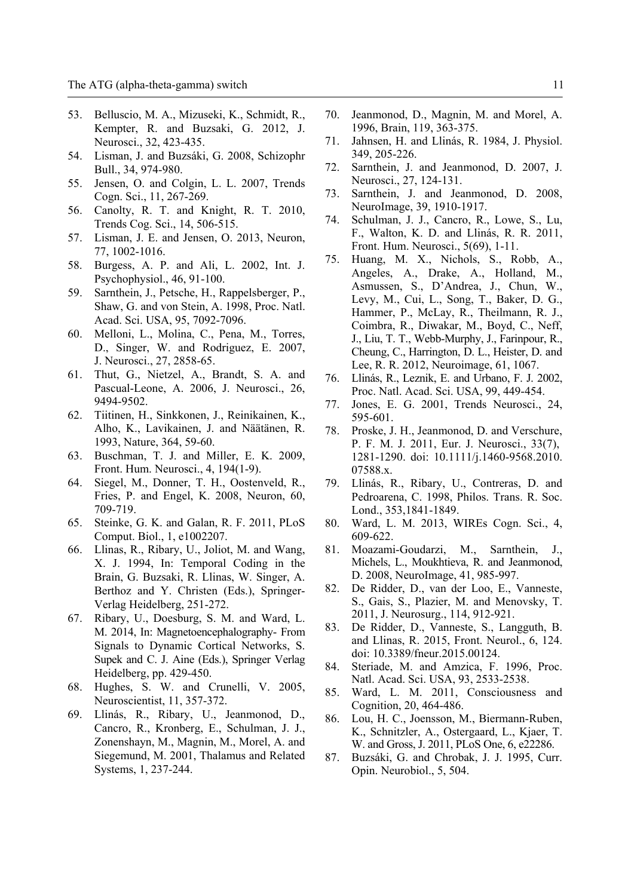- 53. Belluscio, M. A., Mizuseki, K., Schmidt, R., Kempter, R. and Buzsaki, G. 2012, J. Neurosci., 32, 423-435.
- 54. Lisman, J. and Buzsáki, G. 2008, Schizophr Bull., 34, 974-980.
- 55. Jensen, O. and Colgin, L. L. 2007, Trends Cogn. Sci., 11, 267-269.
- 56. Canolty, R. T. and Knight, R. T. 2010, Trends Cog. Sci., 14, 506-515.
- 57. Lisman, J. E. and Jensen, O. 2013, Neuron, 77, 1002-1016.
- 58. Burgess, A. P. and Ali, L. 2002, Int. J. Psychophysiol., 46, 91-100.
- 59. Sarnthein, J., Petsche, H., Rappelsberger, P., Shaw, G. and von Stein, A. 1998, Proc. Natl. Acad. Sci. USA, 95, 7092-7096.
- 60. Melloni, L., Molina, C., Pena, M., Torres, D., Singer, W. and Rodriguez, E. 2007, J. Neurosci., 27, 2858-65.
- 61. Thut, G., Nietzel, A., Brandt, S. A. and Pascual-Leone, A. 2006, J. Neurosci., 26, 9494-9502.
- 62. Tiitinen, H., Sinkkonen, J., Reinikainen, K., Alho, K., Lavikainen, J. and Näätänen, R. 1993, Nature, 364, 59-60.
- 63. Buschman, T. J. and Miller, E. K. 2009, Front. Hum. Neurosci., 4, 194(1-9).
- 64. Siegel, M., Donner, T. H., Oostenveld, R., Fries, P. and Engel, K. 2008, Neuron, 60, 709-719.
- 65. Steinke, G. K. and Galan, R. F. 2011, PLoS Comput. Biol., 1, e1002207.
- 66. Llinas, R., Ribary, U., Joliot, M. and Wang, X. J. 1994, In: Temporal Coding in the Brain, G. Buzsaki, R. Llinas, W. Singer, A. Berthoz and Y. Christen (Eds.), Springer-Verlag Heidelberg, 251-272.
- 67. Ribary, U., Doesburg, S. M. and Ward, L. M. 2014, In: Magnetoencephalography- From Signals to Dynamic Cortical Networks, S. Supek and C. J. Aine (Eds.), Springer Verlag Heidelberg, pp. 429-450.
- 68. Hughes, S. W. and Crunelli, V. 2005, Neuroscientist, 11, 357-372.
- 69. Llinás, R., Ribary, U., Jeanmonod, D., Cancro, R., Kronberg, E., Schulman, J. J., Zonenshayn, M., Magnin, M., Morel, A. and Siegemund, M. 2001, Thalamus and Related Systems, 1, 237-244.
- 70. Jeanmonod, D., Magnin, M. and Morel, A. 1996, Brain, 119, 363-375.
- 71. Jahnsen, H. and Llinás, R. 1984, J. Physiol. 349, 205-226.
- 72. Sarnthein, J. and Jeanmonod, D. 2007, J. Neurosci., 27, 124-131.
- 73. Sarnthein, J. and Jeanmonod, D. 2008, NeuroImage, 39, 1910-1917.
- 74. Schulman, J. J., Cancro, R., Lowe, S., Lu, F., Walton, K. D. and Llinás, R. R. 2011, Front. Hum. Neurosci., 5(69), 1-11.
- 75. Huang, M. X., Nichols, S., Robb, A., Angeles, A., Drake, A., Holland, M., Asmussen, S., D'Andrea, J., Chun, W., Levy, M., Cui, L., Song, T., Baker, D. G., Hammer, P., McLay, R., Theilmann, R. J., Coimbra, R., Diwakar, M., Boyd, C., Neff, J., Liu, T. T., Webb-Murphy, J., Farinpour, R., Cheung, C., Harrington, D. L., Heister, D. and Lee, R. R. 2012, Neuroimage, 61, 1067.
- 76. Llinás, R., Leznik, E. and Urbano, F. J. 2002, Proc. Natl. Acad. Sci. USA, 99, 449-454.
- 77. Jones, E. G. 2001, Trends Neurosci., 24, 595-601.
- 78. Proske, J. H., Jeanmonod, D. and Verschure, P. F. M. J. 2011, Eur. J. Neurosci., 33(7), 1281-1290. doi: 10.1111/j.1460-9568.2010. 07588.x.
- 79. Llinás, R., Ribary, U., Contreras, D. and Pedroarena, C. 1998, Philos. Trans. R. Soc. Lond., 353,1841-1849.
- 80. Ward, L. M. 2013, WIREs Cogn. Sci., 4, 609-622.
- 81. Moazami-Goudarzi, M., Sarnthein, J., Michels, L., Moukhtieva, R. and Jeanmonod, D. 2008, NeuroImage, 41, 985-997.
- 82. De Ridder, D., van der Loo, E., Vanneste, S., Gais, S., Plazier, M. and Menovsky, T. 2011, J. Neurosurg., 114, 912-921.
- 83. De Ridder, D., Vanneste, S., Langguth, B. and Llinas, R. 2015, Front. Neurol., 6, 124. doi: 10.3389/fneur.2015.00124.
- 84. Steriade, M. and Amzica, F. 1996, Proc. Natl. Acad. Sci. USA, 93, 2533-2538.
- 85. Ward, L. M. 2011, Consciousness and Cognition, 20, 464-486.
- 86. Lou, H. C., Joensson, M., Biermann-Ruben, K., Schnitzler, A., Ostergaard, L., Kjaer, T. W. and Gross, J. 2011, PLoS One, 6, e22286.
- 87. Buzsáki, G. and Chrobak, J. J. 1995, Curr. Opin. Neurobiol., 5, 504.